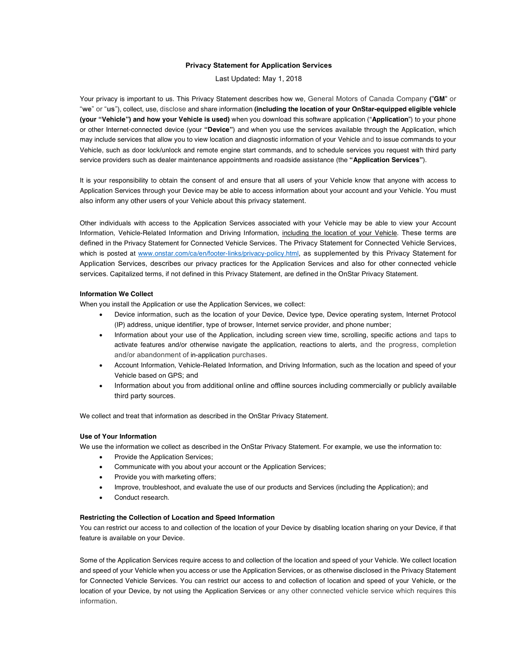## **Privacy Statement for Application Services**

Last Updated**:** May 1, 2018

Your privacy is important to us. This Privacy Statement describes how we, General Motors of Canada Company **(**"**GM**" or "**we**" or "**us**"), collect, use, disclose and share information **(including the location of your OnStar-equipped eligible vehicle (your "Vehicle") and how your Vehicle is used)** when you download this software application ("**Application**") to your phone or other Internet-connected device (your **"Device"**) and when you use the services available through the Application, which may include services that allow you to view location and diagnostic information of your Vehicle and to issue commands to your Vehicle, such as door lock/unlock and remote engine start commands, and to schedule services you request with third party service providers such as dealer maintenance appointments and roadside assistance (the **"Application Services"**).

It is your responsibility to obtain the consent of and ensure that all users of your Vehicle know that anyone with access to Application Services through your Device may be able to access information about your account and your Vehicle. You must also inform any other users of your Vehicle about this privacy statement.

Other individuals with access to the Application Services associated with your Vehicle may be able to view your Account Information, Vehicle-Related Information and Driving Information, *including the location of your Vehicle*. These terms are defined in the Privacy Statement for Connected Vehicle Services. The Privacy Statement for Connected Vehicle Services, which is posted at www.onstar.com/ca/en/footer-links/privacy-policy.html, as supplemented by this Privacy Statement for Application Services, describes our privacy practices for the Application Services and also for other connected vehicle services. Capitalized terms, if not defined in this Privacy Statement, are defined in the OnStar Privacy Statement.

### **Information We Collect**

When you install the Application or use the Application Services, we collect:

- Device information, such as the location of your Device, Device type, Device operating system, Internet Protocol (IP) address, unique identifier, type of browser, Internet service provider, and phone number;
- Information about your use of the Application, including screen view time, scrolling, specific actions and taps to activate features and/or otherwise navigate the application, reactions to alerts, and the progress, completion and/or abandonment of in-application purchases.
- Account Information, Vehicle-Related Information, and Driving Information, such as the location and speed of your Vehicle based on GPS; and
- Information about you from additional online and offline sources including commercially or publicly available third party sources.

We collect and treat that information as described in the OnStar Privacy Statement.

# **Use of Your Information**

We use the information we collect as described in the OnStar Privacy Statement. For example, we use the information to:

- Provide the Application Services:
- Communicate with you about your account or the Application Services;
- Provide you with marketing offers;
- Improve, troubleshoot, and evaluate the use of our products and Services (including the Application); and
- Conduct research.

### **Restricting the Collection of Location and Speed Information**

You can restrict our access to and collection of the location of your Device by disabling location sharing on your Device, if that feature is available on your Device.

Some of the Application Services require access to and collection of the location and speed of your Vehicle. We collect location and speed of your Vehicle when you access or use the Application Services, or as otherwise disclosed in the Privacy Statement for Connected Vehicle Services. You can restrict our access to and collection of location and speed of your Vehicle, or the location of your Device, by not using the Application Services or any other connected vehicle service which requires this information.